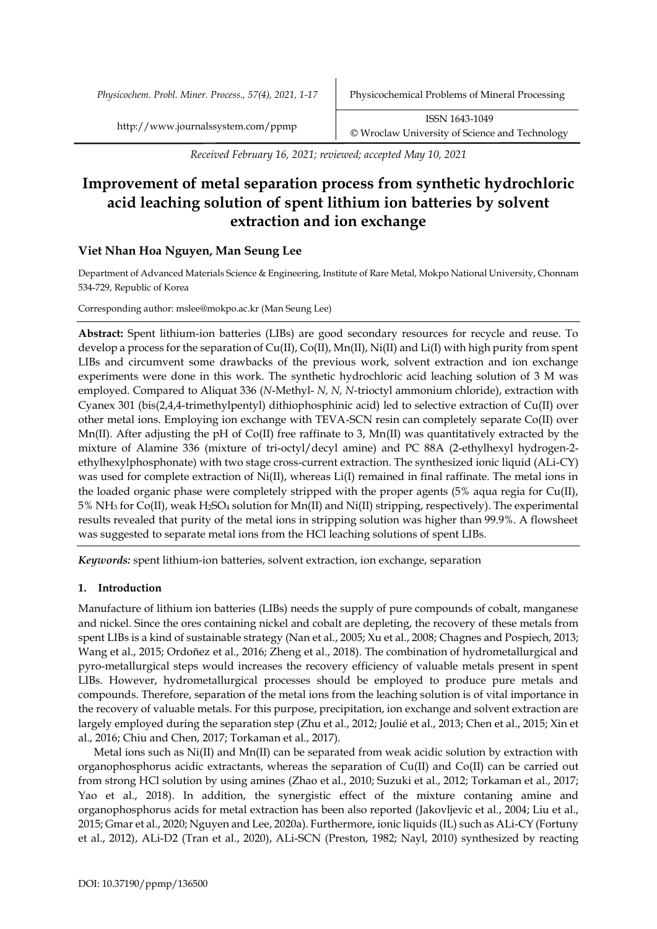*Physicochem. Probl. Miner. Process., 57(4), 2021, 1-17* Physicochemical Problems of Mineral Processing

*Received February 16, 2021; reviewed; accepted May 10, 2021*

# **Improvement of metal separation process from synthetic hydrochloric acid leaching solution of spent lithium ion batteries by solvent extraction and ion exchange**

## **Viet Nhan Hoa Nguyen, Man Seung Lee**

Department of Advanced Materials Science & Engineering, Institute of Rare Metal, Mokpo National University, Chonnam 534-729, Republic of Korea

Corresponding author: mslee@mokpo.ac.kr (Man Seung Lee)

**Abstract:** Spent lithium-ion batteries (LIBs) are good secondary resources for recycle and reuse. To develop a process for the separation of Cu(II), Co(II), Mn(II), Ni(II) and Li(I) with high purity from spent LIBs and circumvent some drawbacks of the previous work, solvent extraction and ion exchange experiments were done in this work. The synthetic hydrochloric acid leaching solution of 3 M was employed. Compared to Aliquat 336 (*N*-Methyl- *N, N, N-*trioctyl ammonium chloride), extraction with Cyanex 301 (bis(2,4,4-trimethylpentyl) dithiophosphinic acid) led to selective extraction of Cu(II) over other metal ions. Employing ion exchange with TEVA-SCN resin can completely separate Co(II) over Mn(II). After adjusting the pH of Co(II) free raffinate to 3, Mn(II) was quantitatively extracted by the mixture of Alamine 336 (mixture of tri-octyl/decyl amine) and PC 88A (2-ethylhexyl hydrogen-2 ethylhexylphosphonate) with two stage cross-current extraction. The synthesized ionic liquid (ALi-CY) was used for complete extraction of Ni(II), whereas Li(I) remained in final raffinate. The metal ions in the loaded organic phase were completely stripped with the proper agents (5% aqua regia for Cu(II), 5% NH<sup>3</sup> for Co(II), weak H2SO<sup>4</sup> solution for Mn(II) and Ni(II) stripping, respectively). The experimental results revealed that purity of the metal ions in stripping solution was higher than 99.9%. A flowsheet was suggested to separate metal ions from the HCl leaching solutions of spent LIBs.

*Keywords:* spent lithium-ion batteries, solvent extraction, ion exchange, separation

## **1. Introduction**

Manufacture of lithium ion batteries (LIBs) needs the supply of pure compounds of cobalt, manganese and nickel. Since the ores containing nickel and cobalt are depleting, the recovery of these metals from spent LIBs is a kind of sustainable strategy (Nan et al., 2005; Xu et al., 2008; Chagnes and Pospiech, 2013; Wang et al., 2015; Ordoñez et al., 2016; Zheng et al., 2018). The combination of hydrometallurgical and pyro-metallurgical steps would increases the recovery efficiency of valuable metals present in spent LIBs. However, hydrometallurgical processes should be employed to produce pure metals and compounds. Therefore, separation of the metal ions from the leaching solution is of vital importance in the recovery of valuable metals. For this purpose, precipitation, ion exchange and solvent extraction are largely employed during the separation step (Zhu et al., 2012; Joulié et al., 2013; Chen et al., 2015; Xin et al., 2016; Chiu and Chen, 2017; Torkaman et al., 2017).

Metal ions such as Ni(II) and Mn(II) can be separated from weak acidic solution by extraction with organophosphorus acidic extractants, whereas the separation of Cu(II) and Co(II) can be carried out from strong HCl solution by using amines (Zhao et al., 2010; Suzuki et al., 2012; Torkaman et al., 2017; Yao et al., 2018). In addition, the synergistic effect of the mixture contaning amine and organophosphorus acids for metal extraction has been also reported (Jakovljevic et al., 2004; Liu et al., 2015; Gmar et al., 2020; Nguyen and Lee, 2020a). Furthermore, ionic liquids (IL) such as ALi-CY (Fortuny et al., 2012), ALi-D2 (Tran et al., 2020), ALi-SCN (Preston, 1982; Nayl, 2010) synthesized by reacting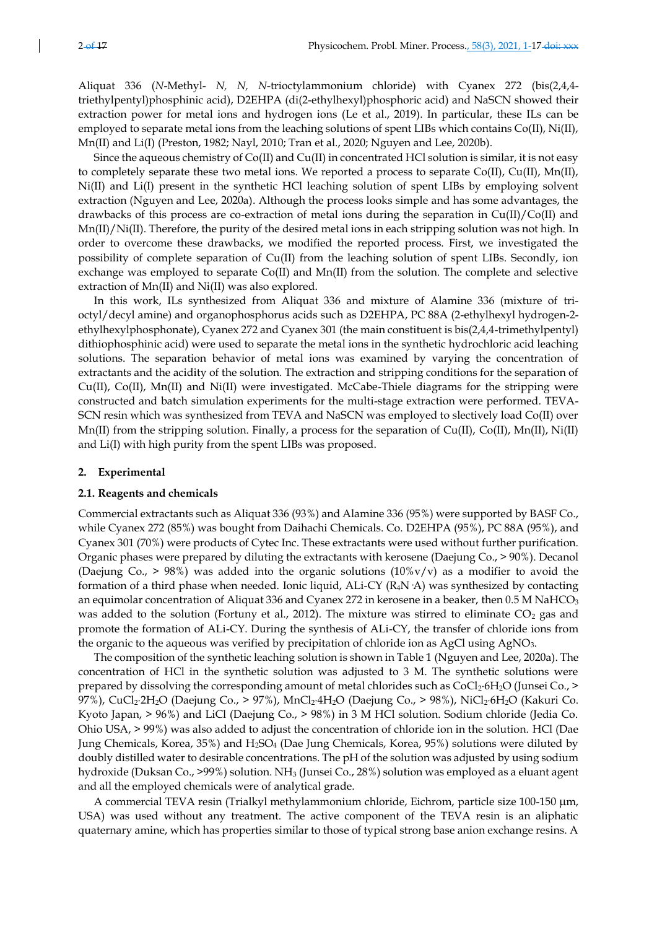Aliquat 336 (*N*-Methyl- *N, N, N-*trioctylammonium chloride) with Cyanex 272 (bis(2,4,4 triethylpentyl)phosphinic acid), D2EHPA (di(2-ethylhexyl)phosphoric acid) and NaSCN showed their extraction power for metal ions and hydrogen ions (Le et al., 2019). In particular, these ILs can be employed to separate metal ions from the leaching solutions of spent LIBs which contains Co(II), Ni(II), Mn(II) and Li(I) (Preston, 1982; Nayl, 2010; Tran et al., 2020; Nguyen and Lee, 2020b).

Since the aqueous chemistry of Co(II) and Cu(II) in concentrated HCl solution is similar, it is not easy to completely separate these two metal ions. We reported a process to separate Co(II), Cu(II), Mn(II), Ni(II) and Li(I) present in the synthetic HCl leaching solution of spent LIBs by employing solvent extraction (Nguyen and Lee, 2020a). Although the process looks simple and has some advantages, the drawbacks of this process are co-extraction of metal ions during the separation in Cu(II)/Co(II) and Mn(II)/Ni(II). Therefore, the purity of the desired metal ions in each stripping solution was not high. In order to overcome these drawbacks, we modified the reported process. First, we investigated the possibility of complete separation of Cu(II) from the leaching solution of spent LIBs. Secondly, ion exchange was employed to separate Co(II) and Mn(II) from the solution. The complete and selective extraction of Mn(II) and Ni(II) was also explored.

In this work, ILs synthesized from Aliquat 336 and mixture of Alamine 336 (mixture of trioctyl/decyl amine) and organophosphorus acids such as D2EHPA, PC 88A (2-ethylhexyl hydrogen-2 ethylhexylphosphonate), Cyanex 272 and Cyanex 301 (the main constituent is bis(2,4,4-trimethylpentyl) dithiophosphinic acid) were used to separate the metal ions in the synthetic hydrochloric acid leaching solutions. The separation behavior of metal ions was examined by varying the concentration of extractants and the acidity of the solution. The extraction and stripping conditions for the separation of Cu(II), Co(II), Mn(II) and Ni(II) were investigated. McCabe-Thiele diagrams for the stripping were constructed and batch simulation experiments for the multi-stage extraction were performed. TEVA-SCN resin which was synthesized from TEVA and NaSCN was employed to slectively load Co(II) over Mn(II) from the stripping solution. Finally, a process for the separation of  $Cu(II)$ ,  $Co(II)$ ,  $Mn(II)$ ,  $Ni(II)$ and Li(I) with high purity from the spent LIBs was proposed.

#### **2. Experimental**

#### **2.1. Reagents and chemicals**

Commercial extractants such as Aliquat 336 (93%) and Alamine 336 (95%) were supported by BASF Co., while Cyanex 272 (85%) was bought from Daihachi Chemicals. Co. D2EHPA (95%), PC 88A (95%), and Cyanex 301 (70%) were products of Cytec Inc. These extractants were used without further purification. Organic phases were prepared by diluting the extractants with kerosene (Daejung Co., > 90%). Decanol (Daejung Co.,  $> 98\%$ ) was added into the organic solutions (10%v/v) as a modifier to avoid the formation of a third phase when needed. Ionic liquid, ALi-CY (R4N·A) was synthesized by contacting an equimolar concentration of Aliquat 336 and Cyanex 272 in kerosene in a beaker, then  $0.5 M \text{ NaHCO}_3$ was added to the solution (Fortuny et al., 2012). The mixture was stirred to eliminate  $CO<sub>2</sub>$  gas and promote the formation of ALi-CY. During the synthesis of ALi-CY, the transfer of chloride ions from the organic to the aqueous was verified by precipitation of chloride ion as AgCl using AgNO<sub>3</sub>.

The composition of the synthetic leaching solution is shown in Table 1 (Nguyen and Lee, 2020a). The concentration of HCl in the synthetic solution was adjusted to 3 M. The synthetic solutions were prepared by dissolving the corresponding amount of metal chlorides such as  $CoCl<sub>2</sub>·6H<sub>2</sub>O$  (Junsei Co., > 97%), CuCl<sub>2</sub>·2H<sub>2</sub>O (Daejung Co., > 97%), MnCl<sub>2</sub>·4H<sub>2</sub>O (Daejung Co., > 98%), NiCl<sub>2</sub>·6H<sub>2</sub>O (Kakuri Co. Kyoto Japan, > 96%) and LiCl (Daejung Co., > 98%) in 3 M HCl solution. Sodium chloride (Jedia Co. Ohio USA, > 99%) was also added to adjust the concentration of chloride ion in the solution. HCl (Dae Jung Chemicals, Korea, 35%) and H2SO<sup>4</sup> (Dae Jung Chemicals, Korea, 95%) solutions were diluted by doubly distilled water to desirable concentrations. The pH of the solution was adjusted by using sodium hydroxide (Duksan Co., >99%) solution. NH<sup>3</sup> (Junsei Co., 28%) solution was employed as a eluant agent and all the employed chemicals were of analytical grade.

A commercial TEVA resin (Trialkyl methylammonium chloride, Eichrom, particle size 100-150 m, USA) was used without any treatment. The active component of the TEVA resin is an aliphatic quaternary amine, which has properties similar to those of typical strong base anion exchange resins. A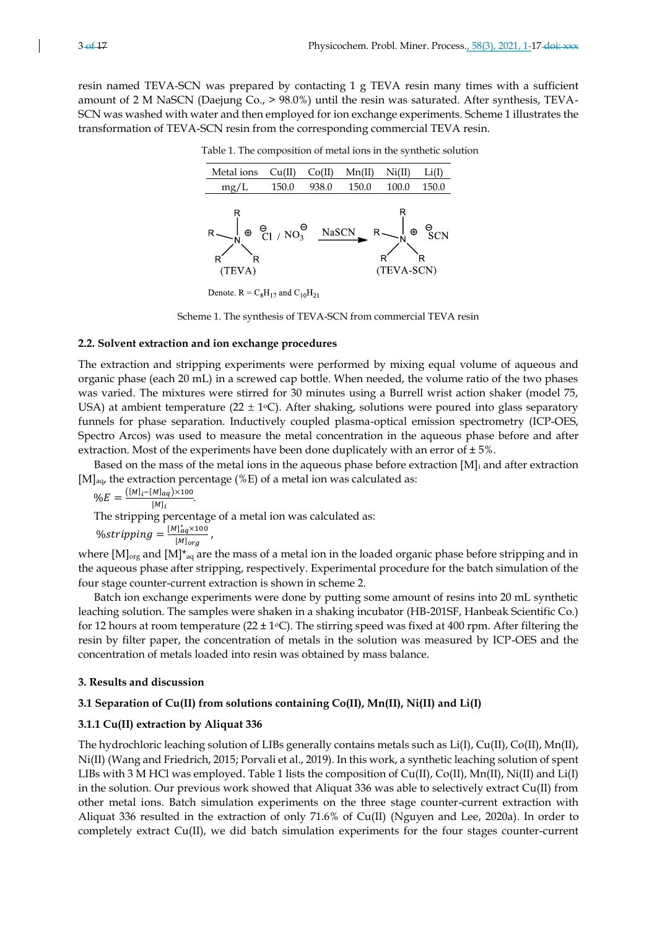resin named TEVA-SCN was prepared by contacting 1 g TEVA resin many times with a sufficient amount of 2 M NaSCN (Daejung Co., > 98.0%) until the resin was saturated. After synthesis, TEVA-SCN was washed with water and then employed for ion exchange experiments. Scheme 1 illustrates the transformation of TEVA-SCN resin from the corresponding commercial TEVA resin.

| Metal ions             | Cu(II)                                | Co(II) | Mn(II) | Ni(II)               |                       |
|------------------------|---------------------------------------|--------|--------|----------------------|-----------------------|
| mg/L                   | 150.0                                 | 938.0  | 150.0  | 100.0                | 150.0                 |
| R<br>$\odot$<br>(TEVA) | $\frac{\Theta}{C1}$ / $NO_3^{\Theta}$ | NaSCN  | R      | R<br>Θ<br>(TEVA-SCN) | $_{\rm SCN}^{\Theta}$ |

Table 1. The composition of metal ions in the synthetic solution

Denote.  $R = C_8H_{17}$  and  $C_{10}H_{21}$ 



#### **2.2. Solvent extraction and ion exchange procedures**

The extraction and stripping experiments were performed by mixing equal volume of aqueous and organic phase (each 20 mL) in a screwed cap bottle. When needed, the volume ratio of the two phases was varied. The mixtures were stirred for 30 minutes using a Burrell wrist action shaker (model 75, USA) at ambient temperature  $(22 \pm 1)$ °C). After shaking, solutions were poured into glass separatory funnels for phase separation. Inductively coupled plasma-optical emission spectrometry (ICP-OES, Spectro Arcos) was used to measure the metal concentration in the aqueous phase before and after extraction. Most of the experiments have been done duplicately with an error of  $\pm 5\%$ .

Based on the mass of the metal ions in the aqueous phase before extraction  $[M]_i$  and after extraction  $[M]_{aa}$ , the extraction percentage (%E) of a metal ion was calculated as:

$$
\%E = \frac{([M]_i - [M]_{aq}) \times 100}{[M]_i}.
$$

The stripping percentage of a metal ion was calculated as:

,

$$
\%stripping = \frac{[M]^*_{aq} \times 100}{[M]_{org}}
$$

where  $[M]_{org}$  and  $[M]^*_{aq}$  are the mass of a metal ion in the loaded organic phase before stripping and in the aqueous phase after stripping, respectively. Experimental procedure for the batch simulation of the four stage counter-current extraction is shown in scheme 2.

Batch ion exchange experiments were done by putting some amount of resins into 20 mL synthetic leaching solution. The samples were shaken in a shaking incubator (HB-201SF, Hanbeak Scientific Co.) for 12 hours at room temperature ( $22 \pm 1$ °C). The stirring speed was fixed at 400 rpm. After filtering the resin by filter paper, the concentration of metals in the solution was measured by ICP-OES and the concentration of metals loaded into resin was obtained by mass balance.

## **3. Results and discussion**

#### **3.1 Separation of Cu(II) from solutions containing Co(II), Mn(II), Ni(II) and Li(I)**

#### **3.1.1 Cu(II) extraction by Aliquat 336**

The hydrochloric leaching solution of LIBs generally contains metals such as Li(I), Cu(II), Co(II), Mn(II), Ni(II) (Wang and Friedrich, 2015; Porvali et al., 2019). In this work, a synthetic leaching solution of spent LIBs with 3 M HCl was employed. Table 1 lists the composition of Cu(II), Co(II), Mn(II), Ni(II) and Li(I) in the solution. Our previous work showed that Aliquat 336 was able to selectively extract Cu(II) from other metal ions. Batch simulation experiments on the three stage counter-current extraction with Aliquat 336 resulted in the extraction of only 71.6% of Cu(II) (Nguyen and Lee, 2020a). In order to completely extract Cu(II), we did batch simulation experiments for the four stages counter-current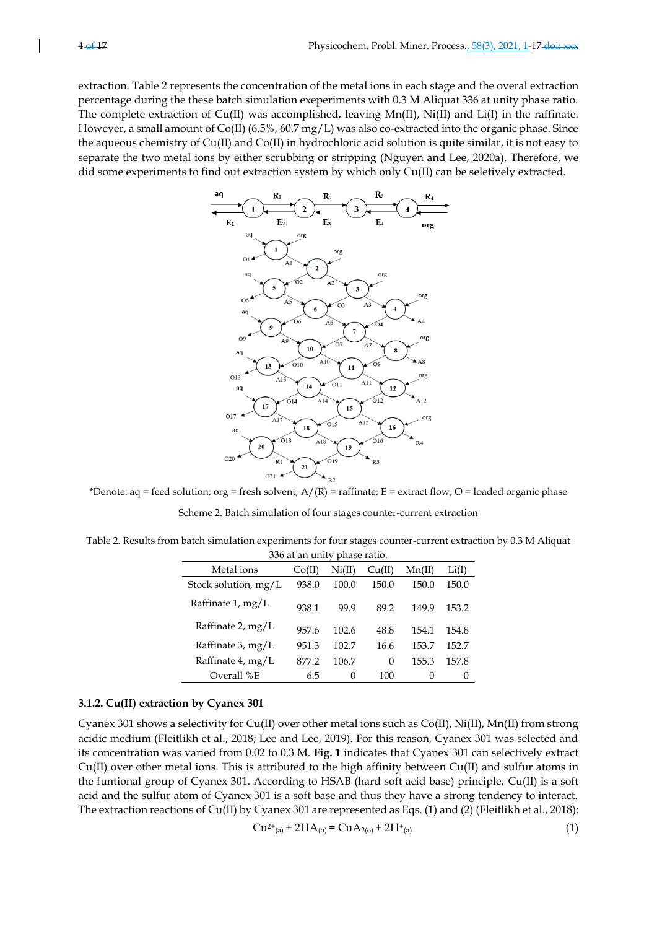extraction. Table 2 represents the concentration of the metal ions in each stage and the overal extraction percentage during the these batch simulation exeperiments with 0.3 M Aliquat 336 at unity phase ratio. The complete extraction of Cu(II) was accomplished, leaving Mn(II), Ni(II) and Li(I) in the raffinate. However, a small amount of Co(II) (6.5%, 60.7 mg/L) was also co-extracted into the organic phase. Since the aqueous chemistry of Cu(II) and Co(II) in hydrochloric acid solution is quite similar, it is not easy to separate the two metal ions by either scrubbing or stripping (Nguyen and Lee, 2020a). Therefore, we did some experiments to find out extraction system by which only Cu(II) can be seletively extracted.



\*Denote:  $aq = feed$  solution;  $org = fresh$  solvent;  $A/(R) = r$ affinate;  $E =$  extract flow;  $O =$  loaded organic phase Scheme 2. Batch simulation of four stages counter-current extraction

Table 2. Results from batch simulation experiments for four stages counter-current extraction by 0.3 M Aliquat 336 at an unity phase ratio.

| $\sim$ $\sim$ at an and<br>PILLO ILLO. |        |        |        |        |       |
|----------------------------------------|--------|--------|--------|--------|-------|
| Metal ions                             | Co(II) | Ni(II) | Cu(II) | Mn(II) | Li(I) |
| Stock solution, $mg/L$                 | 938.0  | 100.0  | 150.0  | 150.0  | 150.0 |
| Raffinate 1, mg/L                      | 938.1  | 99.9   | 89.2   | 149.9  | 153.2 |
| Raffinate 2, mg/L                      | 957.6  | 102.6  | 48.8   | 154.1  | 154.8 |
| Raffinate 3, mg/L                      | 951.3  | 102.7  | 16.6   | 153.7  | 152.7 |
| Raffinate 4, mg/L                      | 877.2  | 106.7  | 0      | 155.3  | 157.8 |
| Overall %E                             | 6.5    | 0      | 100    | 0      | 0     |

## **3.1.2. Cu(II) extraction by Cyanex 301**

Cyanex 301 shows a selectivity for Cu(II) over other metal ions such as Co(II), Ni(II), Mn(II) from strong acidic medium (Fleitlikh et al., 2018; Lee and Lee, 2019). For this reason, Cyanex 301 was selected and its concentration was varied from 0.02 to 0.3 M. **Fig. 1** indicates that Cyanex 301 can selectively extract Cu(II) over other metal ions. This is attributed to the high affinity between Cu(II) and sulfur atoms in the funtional group of Cyanex 301. According to HSAB (hard soft acid base) principle, Cu(II) is a soft acid and the sulfur atom of Cyanex 301 is a soft base and thus they have a strong tendency to interact. The extraction reactions of Cu(II) by Cyanex 301 are represented as Eqs. (1) and (2) (Fleitlikh et al., 2018):

$$
Cu^{2+}(a) + 2HA_{(0)} = CuA_{2(0)} + 2H^{+}(a)
$$
\n(1)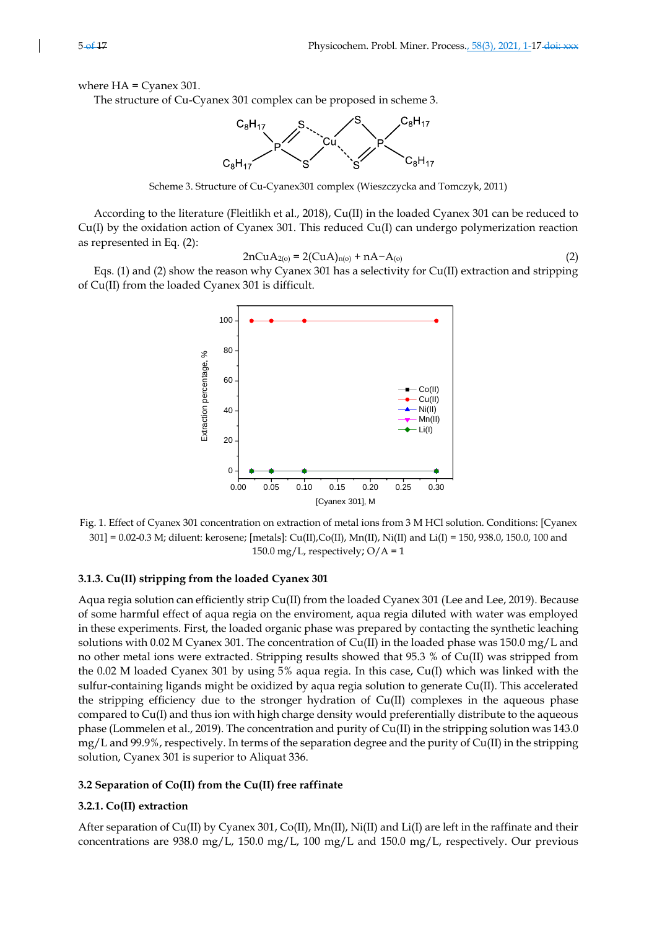where  $HA = CyaneX 301$ .

The structure of Cu-Cyanex 301 complex can be proposed in scheme 3.



Scheme 3. Structure of Cu-Cyanex301 complex (Wieszczycka and Tomczyk, 2011)

According to the literature (Fleitlikh et al., 2018), Cu(II) in the loaded Cyanex 301 can be reduced to Cu(I) by the oxidation action of Cyanex 301. This reduced Cu(I) can undergo polymerization reaction as represented in Eq. (2):

$$
2nCuA_{2(o)} = 2(CuA)_{n(o)} + nA - A_{(o)}
$$
\n(2)

Eqs. (1) and (2) show the reason why Cyanex 301 has a selectivity for Cu(II) extraction and stripping of Cu(II) from the loaded Cyanex 301 is difficult.



Fig. 1. Effect of Cyanex 301 concentration on extraction of metal ions from 3 M HCl solution. Conditions: [Cyanex 301] = 0.02-0.3 M; diluent: kerosene; [metals]: Cu(II),Co(II), Mn(II), Ni(II) and Li(I) = 150, 938.0, 150.0, 100 and 150.0 mg/L, respectively;  $O/A = 1$ 

## **3.1.3. Cu(II) stripping from the loaded Cyanex 301**

Aqua regia solution can efficiently strip Cu(II) from the loaded Cyanex 301 (Lee and Lee, 2019). Because of some harmful effect of aqua regia on the enviroment, aqua regia diluted with water was employed in these experiments. First, the loaded organic phase was prepared by contacting the synthetic leaching solutions with 0.02 M Cyanex 301. The concentration of Cu(II) in the loaded phase was 150.0 mg/L and no other metal ions were extracted. Stripping results showed that 95.3 % of Cu(II) was stripped from the 0.02 M loaded Cyanex 301 by using 5% aqua regia. In this case, Cu(I) which was linked with the sulfur-containing ligands might be oxidized by aqua regia solution to generate Cu(II). This accelerated the stripping efficiency due to the stronger hydration of  $Cu(II)$  complexes in the aqueous phase compared to Cu(I) and thus ion with high charge density would preferentially distribute to the aqueous phase (Lommelen et al., 2019). The concentration and purity of Cu(II) in the stripping solution was 143.0 mg/L and 99.9%, respectively. In terms of the separation degree and the purity of Cu(II) in the stripping solution, Cyanex 301 is superior to Aliquat 336.

#### **3.2 Separation of Co(II) from the Cu(II) free raffinate**

#### **3.2.1. Co(II) extraction**

After separation of Cu(II) by Cyanex 301, Co(II), Mn(II), Ni(II) and Li(I) are left in the raffinate and their concentrations are 938.0 mg/L, 150.0 mg/L, 100 mg/L and 150.0 mg/L, respectively. Our previous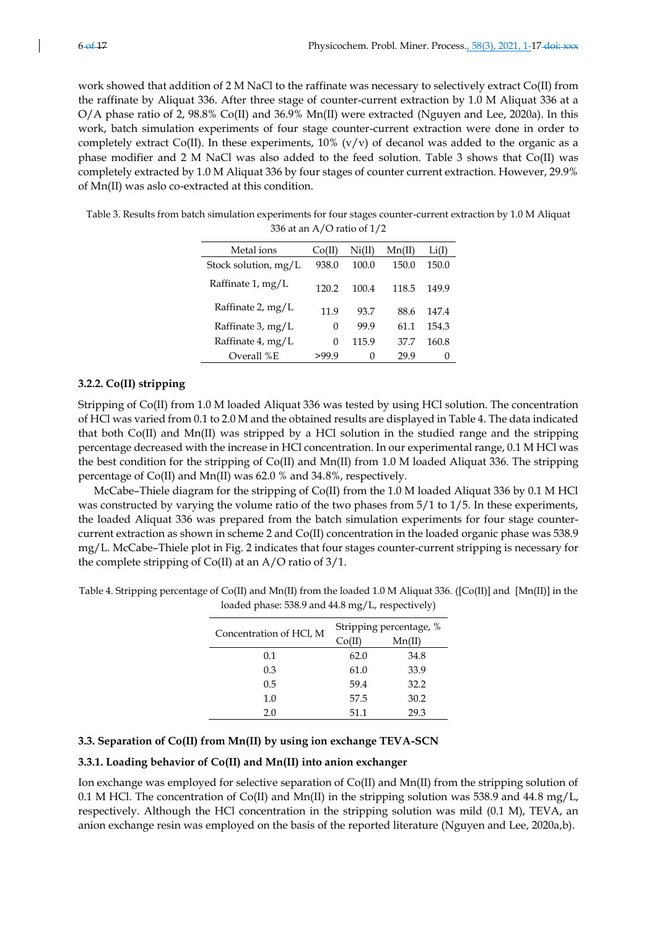work showed that addition of 2 M NaCl to the raffinate was necessary to selectively extract Co(II) from the raffinate by Aliquat 336. After three stage of counter-current extraction by 1.0 M Aliquat 336 at a O/A phase ratio of 2, 98.8% Co(II) and 36.9% Mn(II) were extracted (Nguyen and Lee, 2020a). In this work, batch simulation experiments of four stage counter-current extraction were done in order to completely extract Co(II). In these experiments,  $10\%$  (v/v) of decanol was added to the organic as a phase modifier and 2 M NaCl was also added to the feed solution. Table 3 shows that Co(II) was completely extracted by 1.0 M Aliquat 336 by four stages of counter current extraction. However, 29.9% of Mn(II) was aslo co-extracted at this condition.

Table 3. Results from batch simulation experiments for four stages counter-current extraction by 1.0 M Aliquat 336 at an A/O ratio of 1/2

| Metal ions             | Co(II) | Ni(II) | Mn(II) | Li(I)    |
|------------------------|--------|--------|--------|----------|
| Stock solution, $mg/L$ | 938.0  | 100.0  | 150.0  | 150.0    |
| Raffinate $1, mg/L$    | 120.2  | 100.4  | 118.5  | 149.9    |
| Raffinate 2, mg/L      | 11.9   | 93.7   | 88.6   | 147.4    |
| Raffinate 3, mg/L      | 0      | 99.9   | 61.1   | 154.3    |
| Raffinate 4, mg/L      | 0      | 115.9  | 37.7   | 160.8    |
| Overall %E             | >99.9  | 0      | 29.9   | $\theta$ |

## **3.2.2. Co(II) stripping**

Stripping of Co(II) from 1.0 M loaded Aliquat 336 was tested by using HCl solution. The concentration of HCl was varied from 0.1 to 2.0 M and the obtained results are displayed in Table 4. The data indicated that both Co(II) and Mn(II) was stripped by a HCl solution in the studied range and the stripping percentage decreased with the increase in HCl concentration. In our experimental range, 0.1 M HCl was the best condition for the stripping of Co(II) and Mn(II) from 1.0 M loaded Aliquat 336. The stripping percentage of Co(II) and Mn(II) was 62.0 % and 34.8%, respectively.

McCabe–Thiele diagram for the stripping of Co(II) from the 1.0 M loaded Aliquat 336 by 0.1 M HCl was constructed by varying the volume ratio of the two phases from  $5/1$  to  $1/5$ . In these experiments, the loaded Aliquat 336 was prepared from the batch simulation experiments for four stage countercurrent extraction as shown in scheme 2 and Co(II) concentration in the loaded organic phase was 538.9 mg/L. McCabe–Thiele plot in Fig. 2 indicates that four stages counter-current stripping is necessary for the complete stripping of Co(II) at an A/O ratio of 3/1.

| loaded phase: 538.9 and 44.8 mg/L, respectively) |                                       |
|--------------------------------------------------|---------------------------------------|
| Concentration of HCl, M                          | Stripping percentage, %               |
|                                                  | C <sub>0</sub> /H<br>$M_{\rm D}$ (II) |

Table 4. Stripping percentage of Co(II) and Mn(II) from the loaded 1.0 M Aliquat 336. ([Co(II)] and [Mn(II)] in the

| Concentration of HCl, M | Stripping percentage, % |        |  |  |
|-------------------------|-------------------------|--------|--|--|
|                         | Co(II)                  | Mn(II) |  |  |
| 0.1                     | 62.0                    | 34.8   |  |  |
| 0.3                     | 61.0                    | 33.9   |  |  |
| 0.5                     | 59.4                    | 32.2   |  |  |
| 1.0                     | 57.5                    | 30.2   |  |  |
| 2.0                     | 51.1                    | 29.3   |  |  |

## **3.3. Separation of Co(II) from Mn(II) by using ion exchange TEVA-SCN**

#### **3.3.1. Loading behavior of Co(II) and Mn(II) into anion exchanger**

Ion exchange was employed for selective separation of Co(II) and Mn(II) from the stripping solution of 0.1 M HCl. The concentration of Co(II) and Mn(II) in the stripping solution was 538.9 and 44.8 mg/L, respectively. Although the HCl concentration in the stripping solution was mild (0.1 M), TEVA, an anion exchange resin was employed on the basis of the reported literature (Nguyen and Lee, 2020a,b).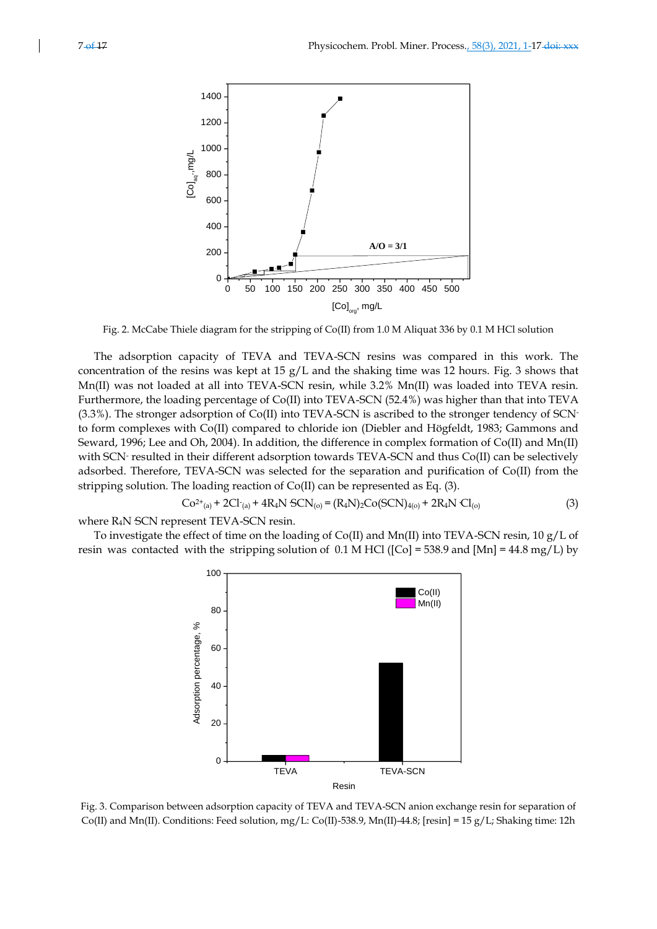

Fig. 2. McCabe Thiele diagram for the stripping of Co(II) from 1.0 M Aliquat 336 by 0.1 M HCl solution

The adsorption capacity of TEVA and TEVA-SCN resins was compared in this work. The concentration of the resins was kept at 15  $g/L$  and the shaking time was 12 hours. Fig. 3 shows that Mn(II) was not loaded at all into TEVA-SCN resin, while 3.2% Mn(II) was loaded into TEVA resin. Furthermore, the loading percentage of Co(II) into TEVA-SCN (52.4%) was higher than that into TEVA (3.3%). The stronger adsorption of Co(II) into TEVA-SCN is ascribed to the stronger tendency of SCNto form complexes with Co(II) compared to chloride ion (Diebler and Högfeldt, 1983; Gammons and Seward, 1996; Lee and Oh, 2004). In addition, the difference in complex formation of Co(II) and Mn(II) with SCN- resulted in their different adsorption towards TEVA-SCN and thus Co(II) can be selectively adsorbed. Therefore, TEVA-SCN was selected for the separation and purification of Co(II) from the stripping solution. The loading reaction of Co(II) can be represented as Eq. (3).

$$
Co^{2+}(a) + 2Cl^{-}(a) + 4R_4N SCN_{(o)} = (R_4N)_2Co(SCN)_{4(o)} + 2R_4N Cl_{(o)}
$$
\n(3)

where R<sub>4</sub>N SCN represent TEVA-SCN resin.

To investigate the effect of time on the loading of Co(II) and Mn(II) into TEVA-SCN resin, 10  $g/L$  of resin was contacted with the stripping solution of  $0.1$  M HCl ([Co] = 538.9 and [Mn] = 44.8 mg/L) by



Fig. 3. Comparison between adsorption capacity of TEVA and TEVA-SCN anion exchange resin for separation of Co(II) and Mn(II). Conditions: Feed solution, mg/L: Co(II)-538.9, Mn(II)-44.8; [resin] = 15 g/L; Shaking time: 12h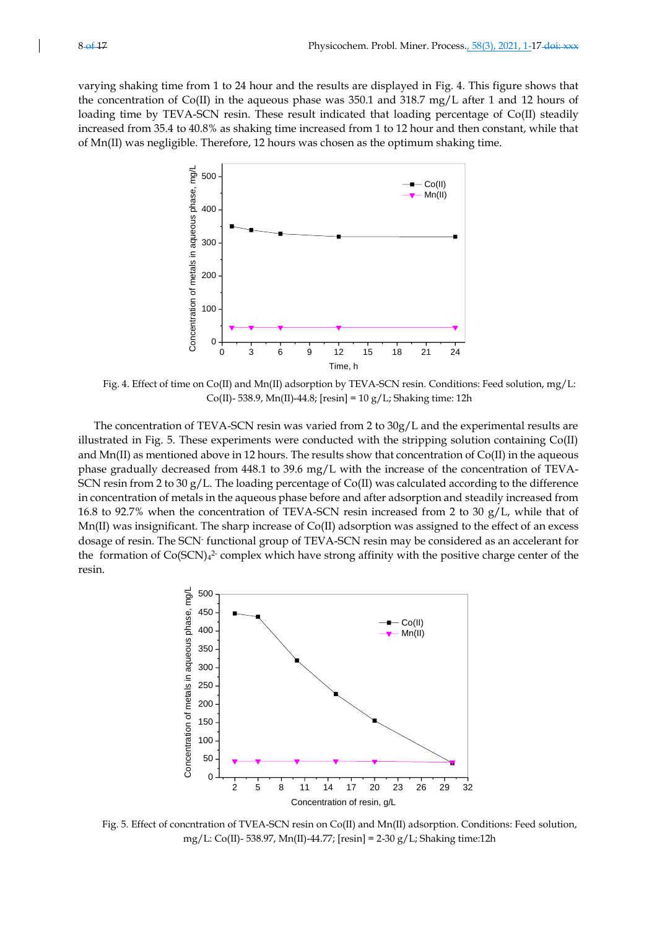varying shaking time from 1 to 24 hour and the results are displayed in Fig. 4. This figure shows that the concentration of Co(II) in the aqueous phase was 350.1 and 318.7 mg/L after 1 and 12 hours of loading time by TEVA-SCN resin. These result indicated that loading percentage of Co(II) steadily increased from 35.4 to 40.8% as shaking time increased from 1 to 12 hour and then constant, while that of Mn(II) was negligible. Therefore, 12 hours was chosen as the optimum shaking time.



Fig. 4. Effect of time on Co(II) and Mn(II) adsorption by TEVA-SCN resin. Conditions: Feed solution, mg/L: Co(II)- 538.9, Mn(II)-44.8;  $[resin] = 10 g/L$ ; Shaking time: 12h

The concentration of TEVA-SCN resin was varied from 2 to 30g/L and the experimental results are illustrated in Fig. 5. These experiments were conducted with the stripping solution containing Co(II) and Mn(II) as mentioned above in 12 hours. The results show that concentration of Co(II) in the aqueous phase gradually decreased from 448.1 to 39.6 mg/L with the increase of the concentration of TEVA-SCN resin from 2 to 30 g/L. The loading percentage of Co(II) was calculated according to the difference in concentration of metals in the aqueous phase before and after adsorption and steadily increased from 16.8 to 92.7% when the concentration of TEVA-SCN resin increased from 2 to 30 g/L, while that of Mn(II) was insignificant. The sharp increase of Co(II) adsorption was assigned to the effect of an excess dosage of resin. The SCN-functional group of TEVA-SCN resin may be considered as an accelerant for the formation of  $Co(SCN)<sub>4</sub><sup>2</sup>$  complex which have strong affinity with the positive charge center of the resin.



Fig. 5. Effect of concntration of TVEA-SCN resin on Co(II) and Mn(II) adsorption. Conditions: Feed solution, mg/L: Co(II)- 538.97, Mn(II)-44.77; [resin] = 2-30 g/L; Shaking time:12h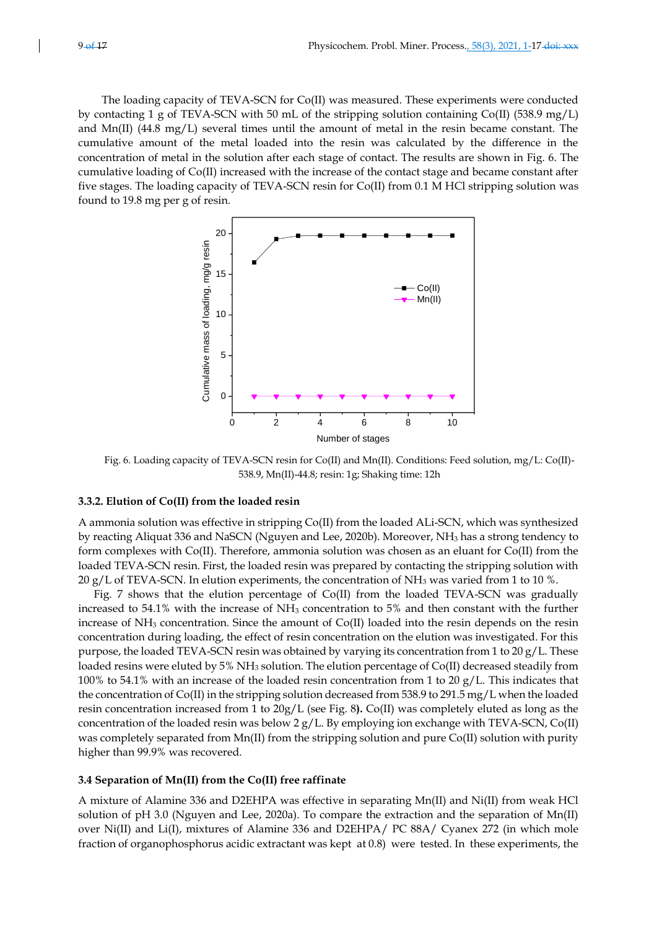The loading capacity of TEVA-SCN for Co(II) was measured. These experiments were conducted by contacting 1 g of TEVA-SCN with 50 mL of the stripping solution containing Co(II) (538.9 mg/L) and Mn(II) (44.8 mg/L) several times until the amount of metal in the resin became constant. The cumulative amount of the metal loaded into the resin was calculated by the difference in the concentration of metal in the solution after each stage of contact. The results are shown in Fig. 6. The cumulative loading of Co(II) increased with the increase of the contact stage and became constant after five stages. The loading capacity of TEVA-SCN resin for Co(II) from 0.1 M HCl stripping solution was found to 19.8 mg per g of resin.



Fig. 6. Loading capacity of TEVA-SCN resin for Co(II) and Mn(II). Conditions: Feed solution, mg/L: Co(II)- 538.9, Mn(II)-44.8; resin: 1g; Shaking time: 12h

#### **3.3.2. Elution of Co(II) from the loaded resin**

A ammonia solution was effective in stripping Co(II) from the loaded ALi-SCN, which was synthesized by reacting Aliquat 336 and NaSCN (Nguyen and Lee, 2020b). Moreover, NH<sup>3</sup> has a strong tendency to form complexes with Co(II). Therefore, ammonia solution was chosen as an eluant for Co(II) from the loaded TEVA-SCN resin. First, the loaded resin was prepared by contacting the stripping solution with 20 g/L of TEVA-SCN. In elution experiments, the concentration of  $NH<sub>3</sub>$  was varied from 1 to 10 %.

Fig. 7 shows that the elution percentage of Co(II) from the loaded TEVA-SCN was gradually increased to 54.1% with the increase of  $NH<sub>3</sub>$  concentration to 5% and then constant with the further increase of NH<sup>3</sup> concentration. Since the amount of Co(II) loaded into the resin depends on the resin concentration during loading, the effect of resin concentration on the elution was investigated. For this purpose, the loaded TEVA-SCN resin was obtained by varying its concentration from 1 to 20  $g/L$ . These loaded resins were eluted by 5% NH<sup>3</sup> solution. The elution percentage of Co(II) decreased steadily from 100% to 54.1% with an increase of the loaded resin concentration from 1 to 20  $g/L$ . This indicates that the concentration of Co(II) in the stripping solution decreased from 538.9 to 291.5 mg/L when the loaded resin concentration increased from 1 to 20g/L (see Fig. 8**).** Co(II) was completely eluted as long as the concentration of the loaded resin was below 2  $g/L$ . By employing ion exchange with TEVA-SCN, Co(II) was completely separated from Mn(II) from the stripping solution and pure Co(II) solution with purity higher than 99.9% was recovered.

#### **3.4 Separation of Mn(II) from the Co(II) free raffinate**

A mixture of Alamine 336 and D2EHPA was effective in separating Mn(II) and Ni(II) from weak HCl solution of pH 3.0 (Nguyen and Lee, 2020a). To compare the extraction and the separation of Mn(II) over Ni(II) and Li(I), mixtures of Alamine 336 and D2EHPA/ PC 88A/ Cyanex 272 (in which mole fraction of organophosphorus acidic extractant was kept at 0.8) were tested. In these experiments, the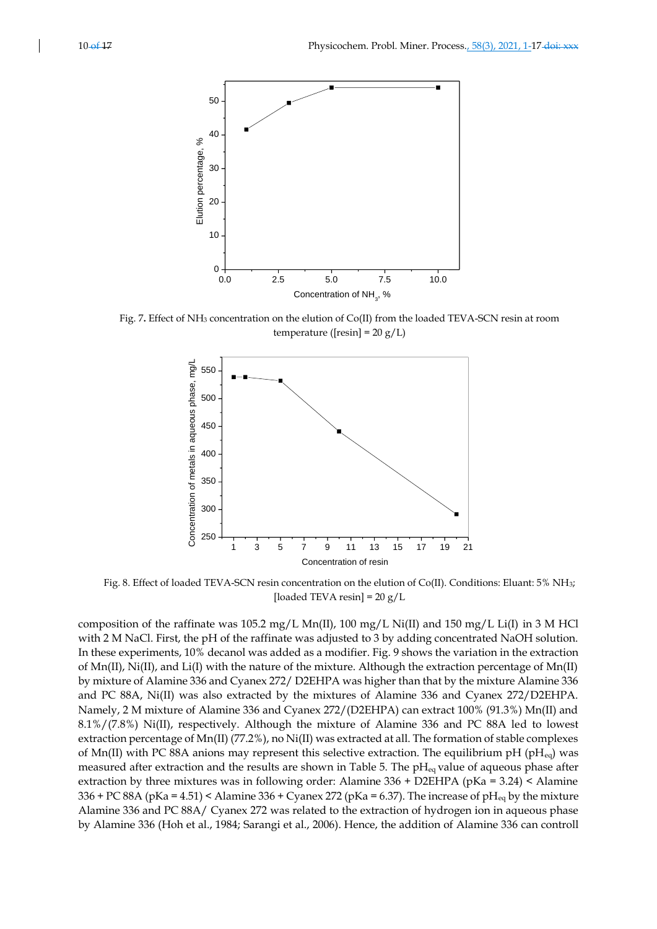

Fig. 7**.** Effect of NH<sup>3</sup> concentration on the elution of Co(II) from the loaded TEVA-SCN resin at room temperature ( $[resin] = 20 g/L$ )



Fig. 8. Effect of loaded TEVA-SCN resin concentration on the elution of Co(II). Conditions: Eluant: 5% NH3; [loaded TEVA resin] =  $20 g/L$ 

composition of the raffinate was 105.2 mg/L Mn(II), 100 mg/L Ni(II) and 150 mg/L Li(I) in 3 M HCl with 2 M NaCl. First, the pH of the raffinate was adjusted to 3 by adding concentrated NaOH solution. In these experiments, 10% decanol was added as a modifier. Fig. 9 shows the variation in the extraction of Mn(II), Ni(II), and Li(I) with the nature of the mixture. Although the extraction percentage of Mn(II) by mixture of Alamine 336 and Cyanex 272/ D2EHPA was higher than that by the mixture Alamine 336 and PC 88A, Ni(II) was also extracted by the mixtures of Alamine 336 and Cyanex 272/D2EHPA. Namely, 2 M mixture of Alamine 336 and Cyanex 272/(D2EHPA) can extract 100% (91.3%) Mn(II) and 8.1%/(7.8%) Ni(II), respectively. Although the mixture of Alamine 336 and PC 88A led to lowest extraction percentage of Mn(II) (77.2%), no Ni(II) was extracted at all. The formation of stable complexes of Mn(II) with PC 88A anions may represent this selective extraction. The equilibrium pH (pH $_{eq}$ ) was measured after extraction and the results are shown in Table 5. The  $pH_{eq}$  value of aqueous phase after extraction by three mixtures was in following order: Alamine 336 + D2EHPA (pKa = 3.24) < Alamine 336 + PC 88A (pKa = 4.51) < Alamine 336 + Cyanex 272 (pKa = 6.37). The increase of pH<sub>eq</sub> by the mixture Alamine 336 and PC 88A/ Cyanex 272 was related to the extraction of hydrogen ion in aqueous phase by Alamine 336 (Hoh et al., 1984; Sarangi et al., 2006). Hence, the addition of Alamine 336 can controll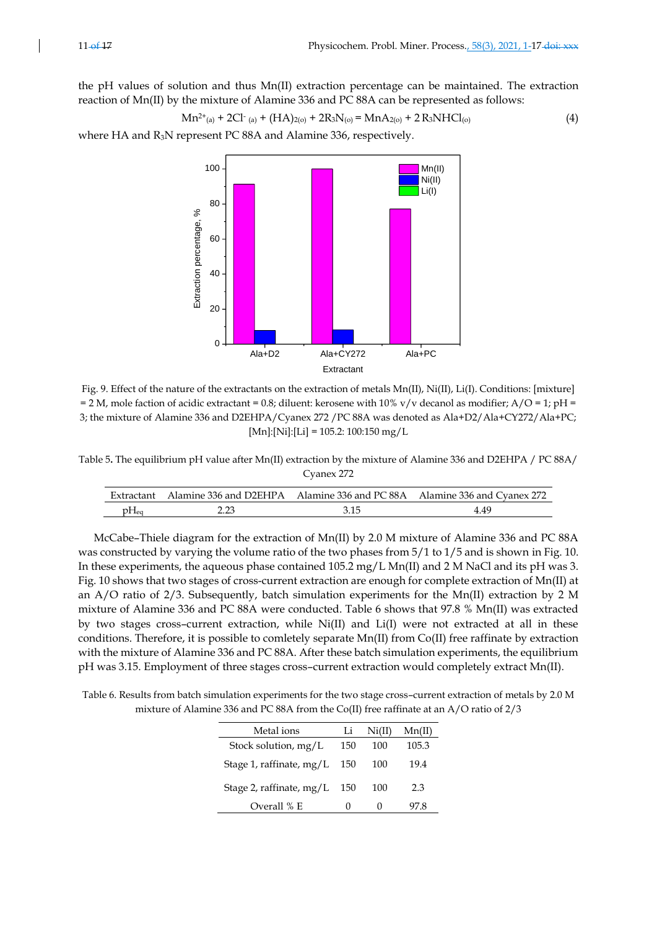$$
Mn^{2+}(a) + 2Cl^{2}(a) + (HA)_{2(0)} + 2R_3N_{(0)} = MnA_{2(0)} + 2R_3NHCl_{(0)}
$$
\n(4)

where HA and R<sub>3</sub>N represent PC 88A and Alamine 336, respectively.



Fig. 9. Effect of the nature of the extractants on the extraction of metals Mn(II), Ni(II), Li(I). Conditions: [mixture] = 2 M, mole faction of acidic extractant = 0.8; diluent: kerosene with  $10\%$  v/v decanol as modifier; A/O = 1; pH = 3; the mixture of Alamine 336 and D2EHPA/Cyanex 272 /PC 88A was denoted as Ala+D2/Ala+CY272/Ala+PC;  $[Mn]:[Ni]:[Li] = 105.2:100:150 mg/L$ 

Table 5**.** The equilibrium pH value after Mn(II) extraction by the mixture of Alamine 336 and D2EHPA / PC 88A/ Cyanex 272

|  | Extractant Alamine 336 and D2EHPA Alamine 336 and PC 88A Alamine 336 and Cyanex 272 |
|--|-------------------------------------------------------------------------------------|
|  | 4 49                                                                                |

McCabe–Thiele diagram for the extraction of Mn(II) by 2.0 M mixture of Alamine 336 and PC 88A was constructed by varying the volume ratio of the two phases from 5/1 to 1/5 and is shown in Fig. 10. In these experiments, the aqueous phase contained 105.2 mg/L Mn(II) and 2 M NaCl and its pH was 3. Fig. 10 shows that two stages of cross-current extraction are enough for complete extraction of Mn(II) at an A/O ratio of 2/3. Subsequently, batch simulation experiments for the Mn(II) extraction by 2 M mixture of Alamine 336 and PC 88A were conducted. Table 6 shows that 97.8 % Mn(II) was extracted by two stages cross–current extraction, while Ni(II) and Li(I) were not extracted at all in these conditions. Therefore, it is possible to comletely separate Mn(II) from Co(II) free raffinate by extraction with the mixture of Alamine 336 and PC 88A. After these batch simulation experiments, the equilibrium pH was 3.15. Employment of three stages cross–current extraction would completely extract Mn(II).

Table 6. Results from batch simulation experiments for the two stage cross–current extraction of metals by 2.0 M mixture of Alamine 336 and PC 88A from the Co(II) free raffinate at an A/O ratio of 2/3

| Metal ions                 | Li  | Ni(II) | Mn(II) |
|----------------------------|-----|--------|--------|
| Stock solution, $mg/L$     | 150 | 100    | 105.3  |
| Stage 1, raffinate, $mg/L$ | 150 | 100    | 19.4   |
| Stage 2, raffinate, $mg/L$ | 150 | 100    | 2.3    |
| Overall % E                | 0   |        | 97 X   |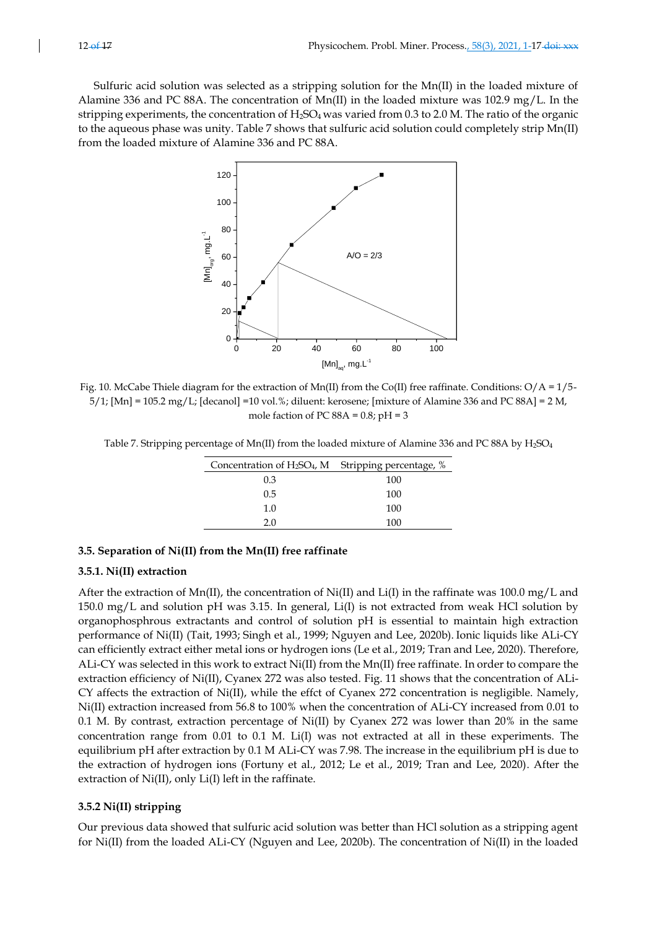Sulfuric acid solution was selected as a stripping solution for the Mn(II) in the loaded mixture of Alamine 336 and PC 88A. The concentration of Mn(II) in the loaded mixture was 102.9 mg/L. In the stripping experiments, the concentration of  $H_2SO_4$  was varied from 0.3 to 2.0 M. The ratio of the organic to the aqueous phase was unity. Table 7 shows that sulfuric acid solution could completely strip Mn(II) from the loaded mixture of Alamine 336 and PC 88A.



Fig. 10. McCabe Thiele diagram for the extraction of Mn(II) from the Co(II) free raffinate. Conditions:  $O/A = 1/5$ - $5/1$ ; [Mn] = 105.2 mg/L; [decanol] =10 vol.%; diluent: kerosene; [mixture of Alamine 336 and PC 88A] = 2 M, mole faction of PC  $88A = 0.8$ ; pH = 3

Table 7. Stripping percentage of Mn(II) from the loaded mixture of Alamine 336 and PC 88A by H<sub>2</sub>SO<sub>4</sub>

| Concentration of H <sub>2</sub> SO <sub>4</sub> , M Stripping percentage, % |     |
|-----------------------------------------------------------------------------|-----|
| 0.3                                                                         | 100 |
| 0.5                                                                         | 100 |
| 1.0                                                                         | 100 |
| 20                                                                          | 100 |

## **3.5. Separation of Ni(II) from the Mn(II) free raffinate**

#### **3.5.1. Ni(II) extraction**

After the extraction of Mn(II), the concentration of Ni(II) and Li(I) in the raffinate was 100.0 mg/L and 150.0 mg/L and solution pH was 3.15. In general, Li(I) is not extracted from weak HCl solution by organophosphrous extractants and control of solution pH is essential to maintain high extraction performance of Ni(II) (Tait, 1993; Singh et al., 1999; Nguyen and Lee, 2020b). Ionic liquids like ALi-CY can efficiently extract either metal ions or hydrogen ions (Le et al., 2019; Tran and Lee, 2020). Therefore, ALi-CY was selected in this work to extract Ni(II) from the Mn(II) free raffinate. In order to compare the extraction efficiency of Ni(II), Cyanex 272 was also tested. Fig. 11 shows that the concentration of ALi-CY affects the extraction of Ni(II), while the effct of Cyanex 272 concentration is negligible. Namely, Ni(II) extraction increased from 56.8 to 100% when the concentration of ALi-CY increased from 0.01 to 0.1 M. By contrast, extraction percentage of Ni(II) by Cyanex 272 was lower than 20% in the same concentration range from 0.01 to 0.1 M. Li(I) was not extracted at all in these experiments. The equilibrium pH after extraction by 0.1 M ALi-CY was 7.98. The increase in the equilibrium pH is due to the extraction of hydrogen ions (Fortuny et al., 2012; Le et al., 2019; Tran and Lee, 2020). After the extraction of Ni(II), only Li(I) left in the raffinate.

#### **3.5.2 Ni(II) stripping**

Our previous data showed that sulfuric acid solution was better than HCl solution as a stripping agent for Ni(II) from the loaded ALi-CY (Nguyen and Lee, 2020b). The concentration of Ni(II) in the loaded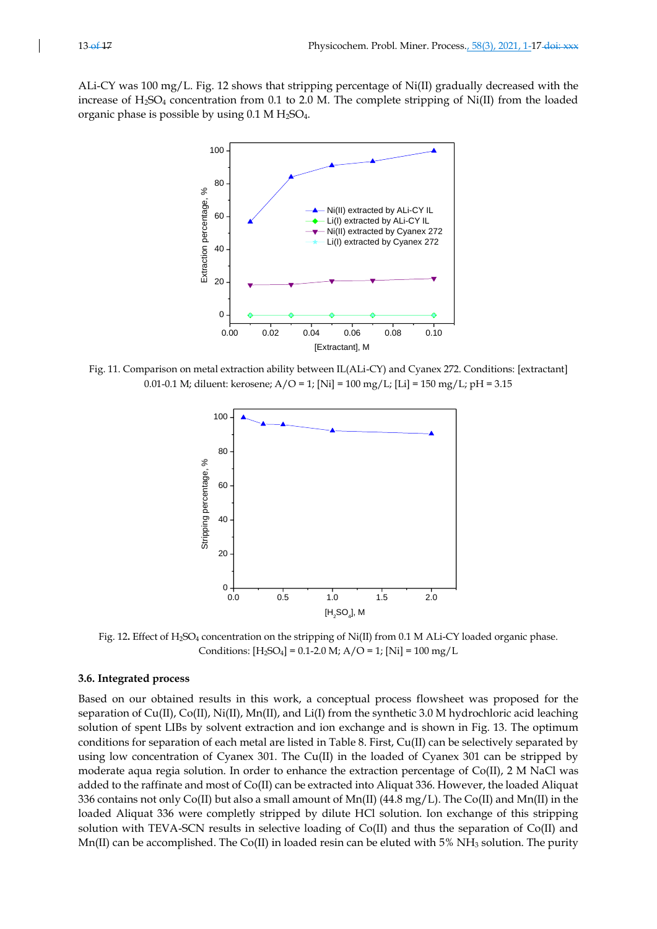ALi-CY was 100 mg/L. Fig. 12 shows that stripping percentage of Ni(II) gradually decreased with the increase of H2SO<sup>4</sup> concentration from 0.1 to 2.0 M. The complete stripping of Ni(II) from the loaded organic phase is possible by using  $0.1$  M H<sub>2</sub>SO<sub>4</sub>.



Fig. 11. Comparison on metal extraction ability between IL(ALi-CY) and Cyanex 272. Conditions: [extractant] 0.01-0.1 M; diluent: kerosene;  $A/O = 1$ ; [Ni] = 100 mg/L; [Li] = 150 mg/L; pH = 3.15



Fig. 12. Effect of H<sub>2</sub>SO<sub>4</sub> concentration on the stripping of Ni(II) from 0.1 M ALi-CY loaded organic phase. Conditions:  $[H_2SO_4] = 0.1 - 2.0 M$ ;  $A/O = 1$ ;  $[Ni] = 100 mg/L$ 

#### **3.6. Integrated process**

Based on our obtained results in this work, a conceptual process flowsheet was proposed for the separation of Cu(II), Co(II), Ni(II), Mn(II), and Li(I) from the synthetic 3.0 M hydrochloric acid leaching solution of spent LIBs by solvent extraction and ion exchange and is shown in Fig. 13. The optimum conditions for separation of each metal are listed in Table 8. First, Cu(II) can be selectively separated by using low concentration of Cyanex 301. The Cu(II) in the loaded of Cyanex 301 can be stripped by moderate aqua regia solution. In order to enhance the extraction percentage of Co(II), 2 M NaCl was added to the raffinate and most of Co(II) can be extracted into Aliquat 336. However, the loaded Aliquat 336 contains not only Co(II) but also a small amount of Mn(II) (44.8 mg/L). The Co(II) and Mn(II) in the loaded Aliquat 336 were completly stripped by dilute HCl solution. Ion exchange of this stripping solution with TEVA-SCN results in selective loading of Co(II) and thus the separation of Co(II) and Mn(II) can be accomplished. The Co(II) in loaded resin can be eluted with 5% NH<sub>3</sub> solution. The purity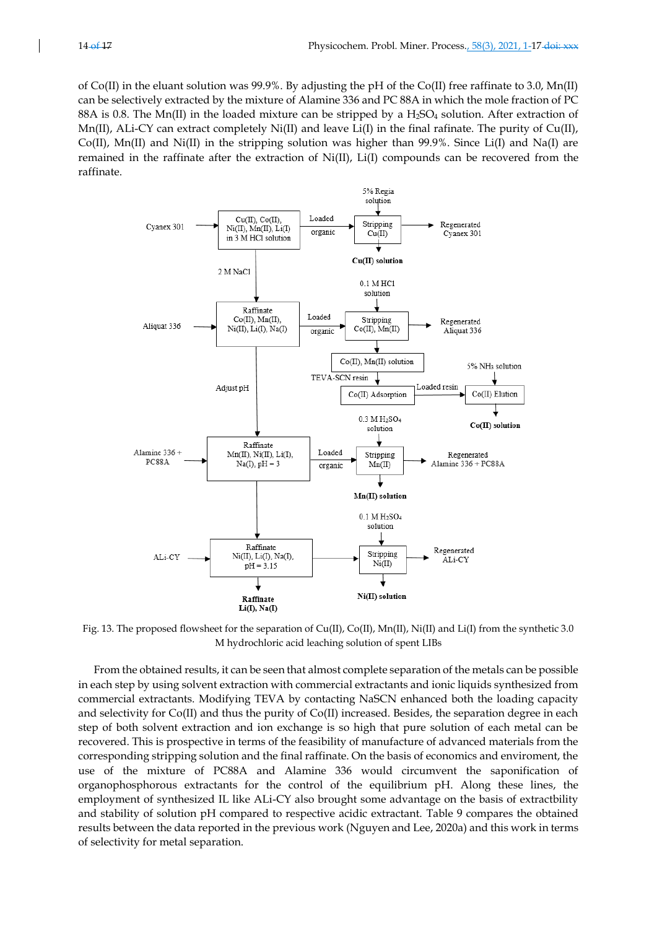of Co(II) in the eluant solution was 99.9%. By adjusting the pH of the Co(II) free raffinate to 3.0, Mn(II) can be selectively extracted by the mixture of Alamine 336 and PC 88A in which the mole fraction of PC 88A is 0.8. The Mn(II) in the loaded mixture can be stripped by a  $H_2SO_4$  solution. After extraction of Mn(II), ALi-CY can extract completely Ni(II) and leave Li(I) in the final rafinate. The purity of  $Cu(II)$ ,  $Co(II)$ ,  $Mn(II)$  and  $Ni(II)$  in the stripping solution was higher than 99.9%. Since Li(I) and Na(I) are remained in the raffinate after the extraction of Ni(II), Li(I) compounds can be recovered from the raffinate.



Fig. 13. The proposed flowsheet for the separation of  $Cu(II)$ ,  $Co(II)$ ,  $Mn(II)$ , Ni(II) and Li(I) from the synthetic 3.0 M hydrochloric acid leaching solution of spent LIBs

From the obtained results, it can be seen that almost complete separation of the metals can be possible in each step by using solvent extraction with commercial extractants and ionic liquids synthesized from commercial extractants. Modifying TEVA by contacting NaSCN enhanced both the loading capacity and selectivity for Co(II) and thus the purity of Co(II) increased. Besides, the separation degree in each step of both solvent extraction and ion exchange is so high that pure solution of each metal can be recovered. This is prospective in terms of the feasibility of manufacture of advanced materials from the corresponding stripping solution and the final raffinate. On the basis of economics and enviroment, the use of the mixture of PC88A and Alamine 336 would circumvent the saponification of organophosphorous extractants for the control of the equilibrium pH. Along these lines, the employment of synthesized IL like ALi-CY also brought some advantage on the basis of extractbility and stability of solution pH compared to respective acidic extractant. Table 9 compares the obtained results between the data reported in the previous work (Nguyen and Lee, 2020a) and this work in terms of selectivity for metal separation.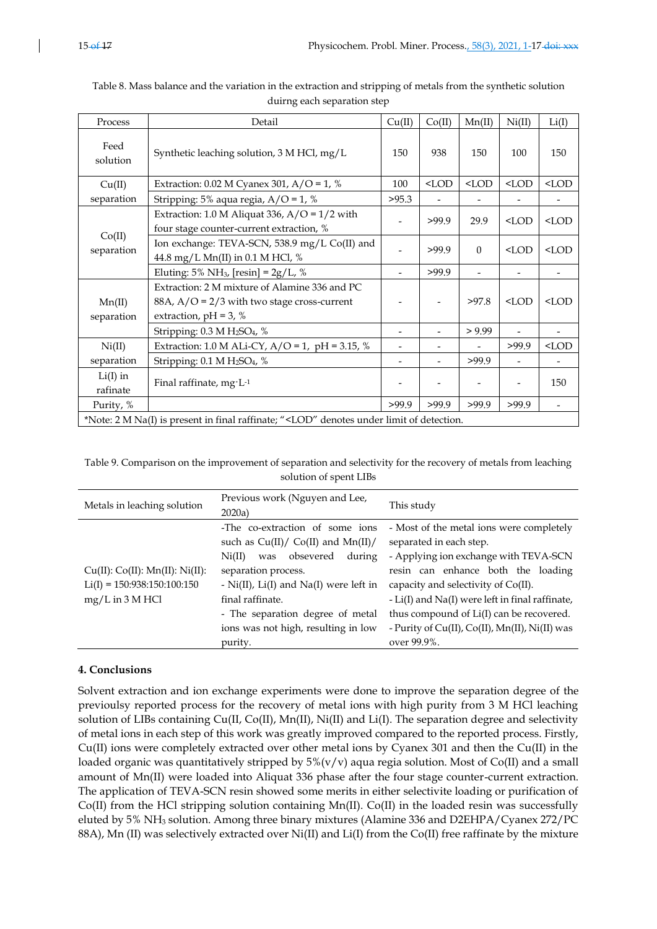| Process                                                                                                                 | Detail                                                                                                                     | Cu(II)                   | Co(II)  | Mn(II)   | Ni(II)                   | Li(I)   |
|-------------------------------------------------------------------------------------------------------------------------|----------------------------------------------------------------------------------------------------------------------------|--------------------------|---------|----------|--------------------------|---------|
| Feed<br>solution                                                                                                        | Synthetic leaching solution, 3 M HCl, mg/L                                                                                 | 150                      | 938     | 150      | 100                      | 150     |
| Cu(II)                                                                                                                  | Extraction: 0.02 M Cyanex 301, A/O = 1, %                                                                                  | 100                      | $<$ LOD | $<$ LOD  | $<$ LOD                  | $<$ LOD |
| separation                                                                                                              | Stripping: 5% aqua regia, $A/O = 1$ , %                                                                                    | >95.3                    |         |          |                          |         |
|                                                                                                                         | Extraction: 1.0 M Aliquat 336, A/O = $1/2$ with<br>four stage counter-current extraction, %                                |                          | >99.9   | 29.9     | $<$ LOD                  | $<$ LOD |
| separation                                                                                                              | Co(II)<br>Ion exchange: TEVA-SCN, 538.9 mg/L Co(II) and<br>44.8 mg/L Mn(II) in 0.1 M HCl, %                                |                          | >99.9   | $\Omega$ | $<$ LOD                  | $<$ LOD |
|                                                                                                                         | Eluting: 5% NH <sub>3</sub> , [resin] = $2g/L$ , %                                                                         |                          | >99.9   |          |                          |         |
| Mn(II)<br>separation                                                                                                    | Extraction: 2 M mixture of Alamine 336 and PC<br>88A, $A/O = 2/3$ with two stage cross-current<br>extraction, $pH = 3$ , % |                          |         | >97.8    | $<$ LOD                  | $<$ LOD |
|                                                                                                                         | Stripping: 0.3 M H <sub>2</sub> SO <sub>4</sub> , %                                                                        | $\overline{\phantom{a}}$ |         | > 9.99   | $\overline{\phantom{0}}$ |         |
| Ni(II)                                                                                                                  | Extraction: 1.0 M ALi-CY, A/O = 1, pH = 3.15, %                                                                            | $\qquad \qquad -$        |         |          | >99.9                    | $<$ LOD |
| separation                                                                                                              | Stripping: 0.1 M H <sub>2</sub> SO <sub>4</sub> , %                                                                        |                          |         | >99.9    |                          |         |
| $Li(I)$ in<br>rafinate                                                                                                  | Final raffinate, mg·L-1                                                                                                    |                          |         |          |                          | 150     |
| Purity, %                                                                                                               |                                                                                                                            | >99.9                    | >99.9   | >99.9    | >99.9                    |         |
| *Note: 2 M Na(I) is present in final raffinate; " <lod" denotes="" detection.<="" limit="" of="" td="" under=""></lod"> |                                                                                                                            |                          |         |          |                          |         |

| Table 8. Mass balance and the variation in the extraction and stripping of metals from the synthetic solution |
|---------------------------------------------------------------------------------------------------------------|
| duirng each separation step                                                                                   |

Table 9. Comparison on the improvement of separation and selectivity for the recovery of metals from leaching solution of spent LIBs

| Metals in leaching solution                                                           | Previous work (Nguyen and Lee,<br>2020a)                                                                                                                                                                                                                                                           | This study                                                                                                                                                                                                                                                                                                                                                |
|---------------------------------------------------------------------------------------|----------------------------------------------------------------------------------------------------------------------------------------------------------------------------------------------------------------------------------------------------------------------------------------------------|-----------------------------------------------------------------------------------------------------------------------------------------------------------------------------------------------------------------------------------------------------------------------------------------------------------------------------------------------------------|
| Cu(II): Co(II): Mn(II): Ni(II):<br>$Li(I) = 150:938:150:100:150$<br>$mg/L$ in 3 M HCl | -The co-extraction of some ions<br>such as $Cu(II)/CO(II)$ and $Mn(II)/$<br>obsevered<br>during<br>Ni(II)<br>was<br>separation process.<br>- $Ni(II)$ , $Li(I)$ and $Na(I)$ were left in<br>final raffinate.<br>- The separation degree of metal<br>ions was not high, resulting in low<br>purity. | - Most of the metal ions were completely<br>separated in each step.<br>- Applying ion exchange with TEVA-SCN<br>resin can enhance both the loading<br>capacity and selectivity of Co(II).<br>- Li(I) and Na(I) were left in final raffinate,<br>thus compound of Li(I) can be recovered.<br>- Purity of Cu(II), Co(II), Mn(II), Ni(II) was<br>over 99.9%. |

# **4. Conclusions**

Solvent extraction and ion exchange experiments were done to improve the separation degree of the previoulsy reported process for the recovery of metal ions with high purity from 3 M HCl leaching solution of LIBs containing Cu(II, Co(II), Mn(II), Ni(II) and Li(I). The separation degree and selectivity of metal ions in each step of this work was greatly improved compared to the reported process. Firstly, Cu(II) ions were completely extracted over other metal ions by Cyanex 301 and then the Cu(II) in the loaded organic was quantitatively stripped by  $5\%$ (v/v) aqua regia solution. Most of Co(II) and a small amount of Mn(II) were loaded into Aliquat 336 phase after the four stage counter-current extraction. The application of TEVA-SCN resin showed some merits in either selectivite loading or purification of Co(II) from the HCl stripping solution containing Mn(II). Co(II) in the loaded resin was successfully eluted by 5% NH<sup>3</sup> solution. Among three binary mixtures (Alamine 336 and D2EHPA/Cyanex 272/PC 88A), Mn (II) was selectively extracted over Ni(II) and Li(I) from the Co(II) free raffinate by the mixture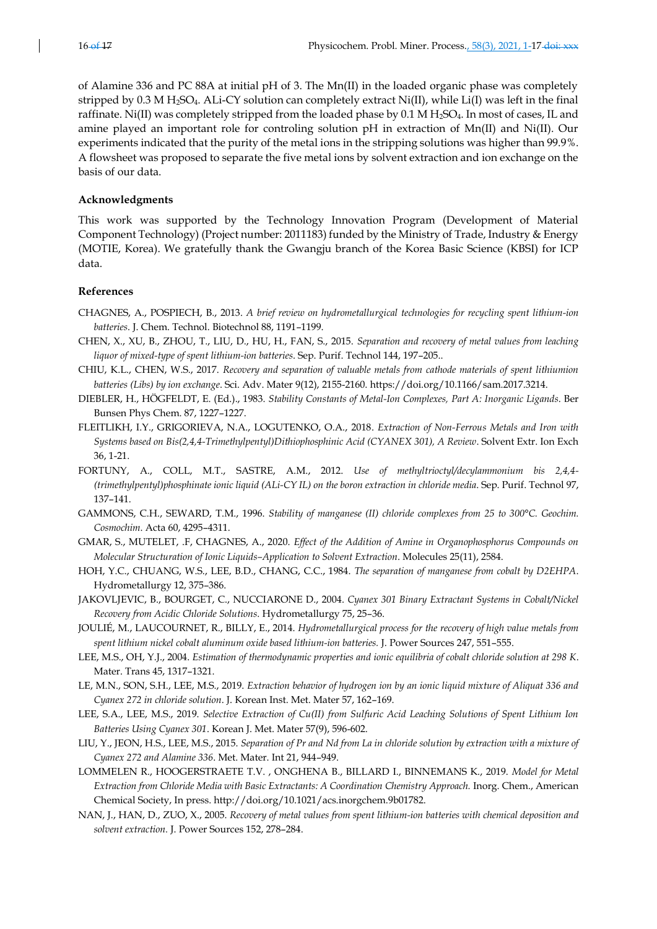of Alamine 336 and PC 88A at initial pH of 3. The Mn(II) in the loaded organic phase was completely stripped by 0.3 M H<sub>2</sub>SO<sub>4</sub>. ALi-CY solution can completely extract Ni(II), while Li(I) was left in the final raffinate. Ni(II) was completely stripped from the loaded phase by 0.1 M H<sub>2</sub>SO<sub>4</sub>. In most of cases, IL and amine played an important role for controling solution pH in extraction of Mn(II) and Ni(II). Our experiments indicated that the purity of the metal ions in the stripping solutions was higher than 99.9%. A flowsheet was proposed to separate the five metal ions by solvent extraction and ion exchange on the basis of our data.

#### **Acknowledgments**

This work was supported by the Technology Innovation Program (Development of Material Component Technology) (Project number: 2011183) funded by the Ministry of Trade, Industry & Energy (MOTIE, Korea). We gratefully thank the Gwangju branch of the Korea Basic Science (KBSI) for ICP data.

#### **References**

- CHAGNES, A., POSPIECH, B., 2013. *A brief review on hydrometallurgical technologies for recycling spent lithium-ion batteries*. J. Chem. Technol. Biotechnol 88, 1191–1199.
- CHEN, X., XU, B., ZHOU, T., LIU, D., HU, H., FAN, S., 2015. *Separation and recovery of metal values from leaching liquor of mixed-type of spent lithium-ion batteries*. Sep. Purif. Technol 144, 197–205..
- CHIU, K.L., CHEN, W.S., 2017. *Recovery and separation of valuable metals from cathode materials of spent lithiumion batteries (Libs) by ion exchange*. Sci. Adv. Mater 9(12), 2155-2160. https://doi.org/10.1166/sam.2017.3214.
- DIEBLER, H., HÖGFELDT, E. (Ed.)., 1983. *Stability Constants of Metal-Ion Complexes, Part A: Inorganic Ligands*. Ber Bunsen Phys Chem. 87, 1227–1227.
- FLEITLIKH, I.Y., GRIGORIEVA, N.A., LOGUTENKO, O.A., 2018. *Extraction of Non-Ferrous Metals and Iron with Systems based on Bis(2,4,4-Trimethylpentyl)Dithiophosphinic Acid (CYANEX 301), A Review*. Solvent Extr. Ion Exch 36, 1-21.
- FORTUNY, A., COLL, M.T., SASTRE, A.M., 2012. *Use of methyltrioctyl/decylammonium bis 2,4,4- (trimethylpentyl)phosphinate ionic liquid (ALi-CY IL) on the boron extraction in chloride media*. Sep. Purif. Technol 97, 137–141.
- GAMMONS, C.H., SEWARD, T.M., 1996. *Stability of manganese (II) chloride complexes from 25 to 300°C. Geochim. Cosmochim*. Acta 60, 4295–4311.
- GMAR, S., MUTELET, .F, CHAGNES, A., 2020. *Effect of the Addition of Amine in Organophosphorus Compounds on Molecular Structuration of Ionic Liquids–Application to Solvent Extraction*. Molecules 25(11), 2584.
- HOH, Y.C., CHUANG, W.S., LEE, B.D., CHANG, C.C., 1984. *The separation of manganese from cobalt by D2EHPA*. Hydrometallurgy 12, 375–386.
- JAKOVLJEVIC, B., BOURGET, C., NUCCIARONE D., 2004. *Cyanex 301 Binary Extractant Systems in Cobalt/Nickel Recovery from Acidic Chloride Solutions*. Hydrometallurgy 75, 25–36.
- JOULIÉ, M., LAUCOURNET, R., BILLY, E., 2014. *Hydrometallurgical process for the recovery of high value metals from spent lithium nickel cobalt aluminum oxide based lithium-ion batteries.* J. Power Sources 247, 551–555.
- LEE, M.S., OH, Y.J., 2004. *Estimation of thermodynamic properties and ionic equilibria of cobalt chloride solution at 298 K*. Mater. Trans 45, 1317–1321.
- LE, M.N., SON, S.H., LEE, M.S., 2019. *Extraction behavior of hydrogen ion by an ionic liquid mixture of Aliquat 336 and Cyanex 272 in chloride solution*. J. Korean Inst. Met. Mater 57, 162–169.
- LEE, S.A., LEE, M.S., 2019. *Selective Extraction of Cu(II) from Sulfuric Acid Leaching Solutions of Spent Lithium Ion Batteries Using Cyanex 301*. Korean J. Met. Mater 57(9), 596-602.
- LIU, Y., JEON, H.S., LEE, M.S., 2015. *Separation of Pr and Nd from La in chloride solution by extraction with a mixture of Cyanex 272 and Alamine 336*. Met. Mater. Int 21, 944–949.
- LOMMELEN R., HOOGERSTRAETE T.V. , ONGHENA B., BILLARD I., BINNEMANS K., 2019. *Model for Metal Extraction from Chloride Media with Basic Extractants: A Coordination Chemistry Approach.* Inorg. Chem., American Chemical Society, In press. http://doi.org/10.1021/acs.inorgchem.9b01782.
- NAN, J., HAN, D., ZUO, X., 2005. *Recovery of metal values from spent lithium-ion batteries with chemical deposition and solvent extraction.* J. Power Sources 152, 278–284.